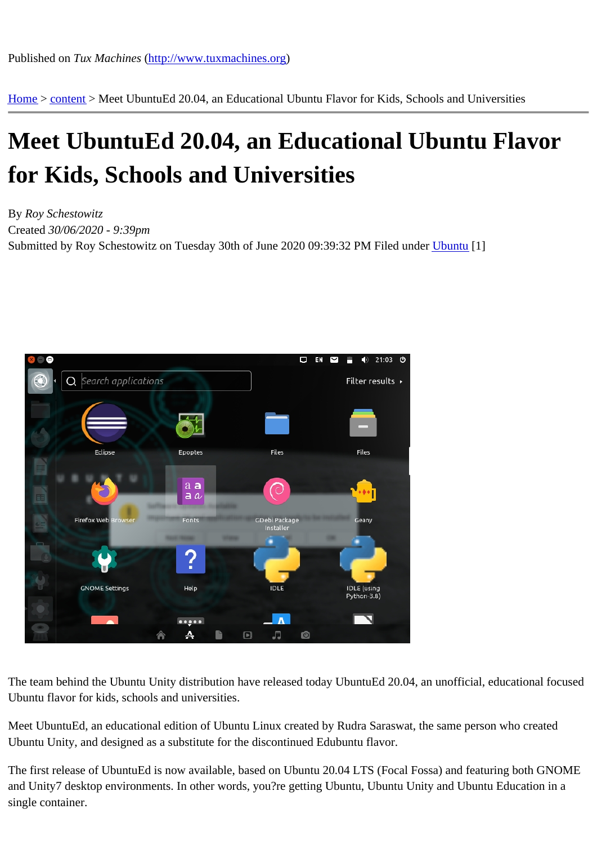Home > content > Meet Ub[untuEd 20.04, an Educatio](http://www.tuxmachines.org)nal Ubuntu Flavor for Kids, Schools and Universities

## [Me](http://www.tuxmachines.org/)[et U](http://www.tuxmachines.org/node)buntuEd 20.04, an Educational Ubuntu Flavor for Kids, Schools and Universities

By Roy Schestowitz Created 30/06/2020 - 9:39pm Submitted by Roy Schestowitz on Tuesday 30th of June 2020 09:39: 32 PM Ander Ubuntul 1]

The team behind the Ubuntu Unity distribution have released today UbuntuEd 20.04, an unofficial, educational foc Ubuntu flavor for kids, schools and universities.

Meet UbuntuEd, an educational edition of Ubuntu Linux created by Rudra Saraswat, the same person who created Ubuntu Unity, and designed as a substitute for the discontinued Edubuntu flavor.

The first release of UbuntuEd is now available, based on Ubuntu 20.04 LTS (Focal Fossa) and featuring both GNO and Unity7 desktop environments. In other words, you?re getting Ubuntu, Ubuntu Unity and Ubuntu Education in a single container.